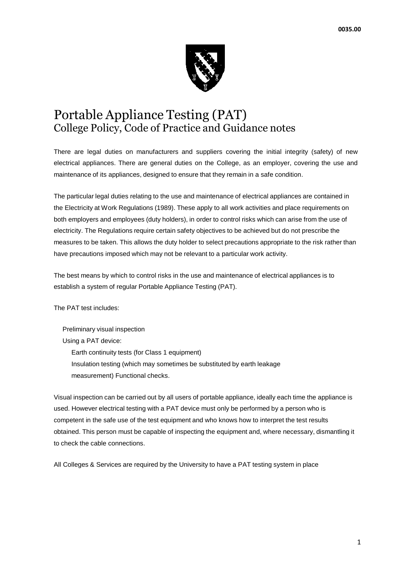

# Portable Appliance Testing (PAT) College Policy, Code of Practice and Guidance notes

There are legal duties on manufacturers and suppliers covering the initial integrity (safety) of new electrical appliances. There are general duties on the College, as an employer, covering the use and maintenance of its appliances, designed to ensure that they remain in a safe condition.

The particular legal duties relating to the use and maintenance of electrical appliances are contained in the Electricity at Work Regulations (1989). These apply to all work activities and place requirements on both employers and employees (duty holders), in order to control risks which can arise from the use of electricity. The Regulations require certain safety objectives to be achieved but do not prescribe the measures to be taken. This allows the duty holder to select precautions appropriate to the risk rather than have precautions imposed which may not be relevant to a particular work activity.

The best means by which to control risks in the use and maintenance of electrical appliances is to establish a system of regular Portable Appliance Testing (PAT).

The PAT test includes:

Preliminary visual inspection Using a PAT device: Earth continuity tests (for Class 1 equipment) Insulation testing (which may sometimes be substituted by earth leakage measurement) Functional checks.

Visual inspection can be carried out by all users of portable appliance, ideally each time the appliance is used. However electrical testing with a PAT device must only be performed by a person who is competent in the safe use of the test equipment and who knows how to interpret the test results obtained. This person must be capable of inspecting the equipment and, where necessary, dismantling it to check the cable connections.

All Colleges & Services are required by the University to have a PAT testing system in place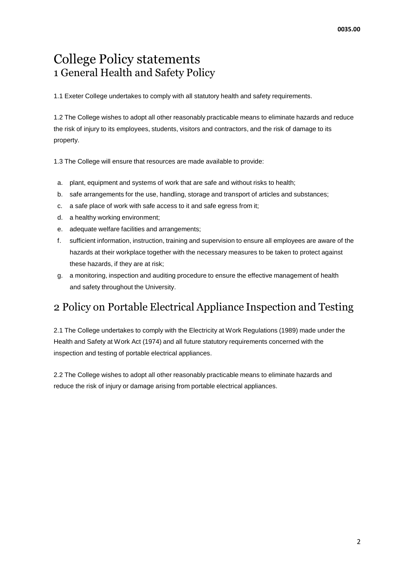# College Policy statements 1 General Health and Safety Policy

1.1 Exeter College undertakes to comply with all statutory health and safety requirements.

1.2 The College wishes to adopt all other reasonably practicable means to eliminate hazards and reduce the risk of injury to its employees, students, visitors and contractors, and the risk of damage to its property.

1.3 The College will ensure that resources are made available to provide:

- a. plant, equipment and systems of work that are safe and without risks to health;
- b. safe arrangements for the use, handling, storage and transport of articles and substances;
- c. a safe place of work with safe access to it and safe egress from it;
- d. a healthy working environment;
- e. adequate welfare facilities and arrangements;
- f. sufficient information, instruction, training and supervision to ensure all employees are aware of the hazards at their workplace together with the necessary measures to be taken to protect against these hazards, if they are at risk;
- g. a monitoring, inspection and auditing procedure to ensure the effective management of health and safety throughout the University.

# 2 Policy on Portable Electrical Appliance Inspection and Testing

2.1 The College undertakes to comply with the Electricity at Work Regulations (1989) made under the Health and Safety at Work Act (1974) and all future statutory requirements concerned with the inspection and testing of portable electrical appliances.

2.2 The College wishes to adopt all other reasonably practicable means to eliminate hazards and reduce the risk of injury or damage arising from portable electrical appliances.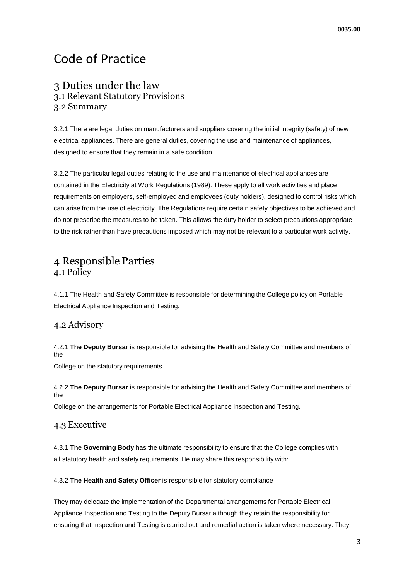# Code of Practice

## 3 Duties under the law 3.1 Relevant Statutory Provisions 3.2 Summary

3.2.1 There are legal duties on manufacturers and suppliers covering the initial integrity (safety) of new electrical appliances. There are general duties, covering the use and maintenance of appliances, designed to ensure that they remain in a safe condition.

3.2.2 The particular legal duties relating to the use and maintenance of electrical appliances are contained in the Electricity at Work Regulations (1989). These apply to all work activities and place requirements on employers, self-employed and employees (duty holders), designed to control risks which can arise from the use of electricity. The Regulations require certain safety objectives to be achieved and do not prescribe the measures to be taken. This allows the duty holder to select precautions appropriate to the risk rather than have precautions imposed which may not be relevant to a particular work activity.

# 4 Responsible Parties 4.1 Policy

4.1.1 The Health and Safety Committee is responsible for determining the College policy on Portable Electrical Appliance Inspection and Testing.

#### 4.2 Advisory

4.2.1 **The Deputy Bursar** is responsible for advising the Health and Safety Committee and members of the

College on the statutory requirements.

4.2.2 **The Deputy Bursar** is responsible for advising the Health and Safety Committee and members of the

College on the arrangements for Portable Electrical Appliance Inspection and Testing.

#### 4.3 Executive

4.3.1 **The Governing Body** has the ultimate responsibility to ensure that the College complies with all statutory health and safety requirements. He may share this responsibility with:

4.3.2 **The Health and Safety Officer** is responsible for statutory compliance

They may delegate the implementation of the Departmental arrangements for Portable Electrical Appliance Inspection and Testing to the Deputy Bursar although they retain the responsibility for ensuring that Inspection and Testing is carried out and remedial action is taken where necessary. They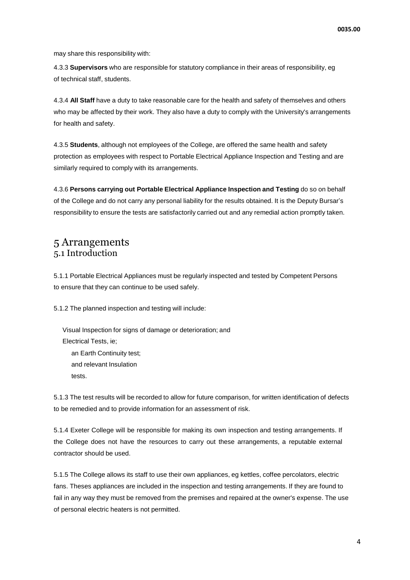may share this responsibility with:

4.3.3 **Supervisors** who are responsible for statutory compliance in their areas of responsibility, eg of technical staff, students.

4.3.4 **All Staff** have a duty to take reasonable care for the health and safety of themselves and others who may be affected by their work. They also have a duty to comply with the University's arrangements for health and safety.

4.3.5 **Students**, although not employees of the College, are offered the same health and safety protection as employees with respect to Portable Electrical Appliance Inspection and Testing and are similarly required to comply with its arrangements.

4.3.6 **Persons carrying out Portable Electrical Appliance Inspection and Testing** do so on behalf of the College and do not carry any personal liability for the results obtained. It is the Deputy Bursar's responsibility to ensure the tests are satisfactorily carried out and any remedial action promptly taken.

### 5 Arrangements 5.1 Introduction

5.1.1 Portable Electrical Appliances must be regularly inspected and tested by Competent Persons to ensure that they can continue to be used safely.

5.1.2 The planned inspection and testing will include:

Visual Inspection for signs of damage or deterioration; and Electrical Tests, ie; an Earth Continuity test; and relevant Insulation tests.

5.1.3 The test results will be recorded to allow for future comparison, for written identification of defects to be remedied and to provide information for an assessment of risk.

5.1.4 Exeter College will be responsible for making its own inspection and testing arrangements. If the College does not have the resources to carry out these arrangements, a reputable external contractor should be used.

5.1.5 The College allows its staff to use their own appliances, eg kettles, coffee percolators, electric fans. Theses appliances are included in the inspection and testing arrangements. If they are found to fail in any way they must be removed from the premises and repaired at the owner's expense. The use of personal electric heaters is not permitted.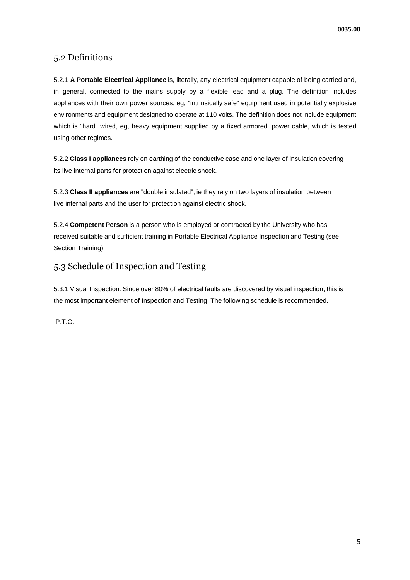### 5.2 Definitions

5.2.1 **A Portable Electrical Appliance** is, literally, any electrical equipment capable of being carried and, in general, connected to the mains supply by a flexible lead and a plug. The definition includes appliances with their own power sources, eg, "intrinsically safe" equipment used in potentially explosive environments and equipment designed to operate at 110 volts. The definition does not include equipment which is "hard" wired, eg, heavy equipment supplied by a fixed armored power cable, which is tested using other regimes.

5.2.2 **Class I appliances** rely on earthing of the conductive case and one layer of insulation covering its live internal parts for protection against electric shock.

5.2.3 **Class II appliances** are "double insulated", ie they rely on two layers of insulation between live internal parts and the user for protection against electric shock.

5.2.4 **Competent Person** is a person who is employed or contracted by the University who has received suitable and sufficient training in Portable Electrical Appliance Inspection and Testing (see Section Training)

### 5.3 Schedule of Inspection and Testing

5.3.1 Visual Inspection: Since over 80% of electrical faults are discovered by visual inspection, this is the most important element of Inspection and Testing. The following schedule is recommended.

P.T.O.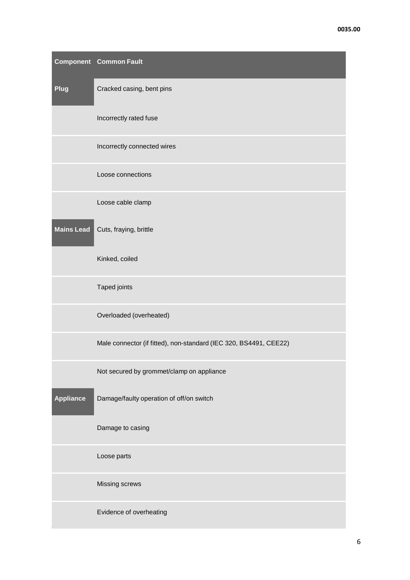|                   | <b>Component Common Fault</b>                                     |  |
|-------------------|-------------------------------------------------------------------|--|
| Plug              | Cracked casing, bent pins                                         |  |
|                   | Incorrectly rated fuse                                            |  |
|                   | Incorrectly connected wires                                       |  |
|                   | Loose connections                                                 |  |
|                   | Loose cable clamp                                                 |  |
| <b>Mains Lead</b> | Cuts, fraying, brittle                                            |  |
|                   | Kinked, coiled                                                    |  |
|                   | Taped joints                                                      |  |
|                   | Overloaded (overheated)                                           |  |
|                   | Male connector (if fitted), non-standard (IEC 320, BS4491, CEE22) |  |
|                   | Not secured by grommet/clamp on appliance                         |  |
| <b>Appliance</b>  | Damage/faulty operation of off/on switch                          |  |
|                   | Damage to casing                                                  |  |
|                   | Loose parts                                                       |  |
|                   | Missing screws                                                    |  |
|                   | Evidence of overheating                                           |  |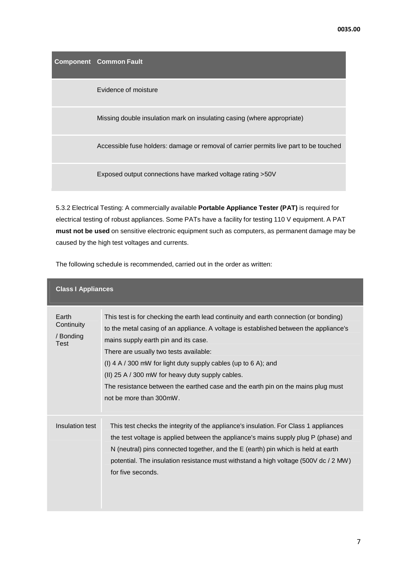**Component Common Fault**

Evidence of moisture

Missing double insulation mark on insulating casing (where appropriate)

Accessible fuse holders: damage or removal of carrier permits live part to be touched

Exposed output connections have marked voltage rating >50V

5.3.2 Electrical Testing: A commercially available **Portable Appliance Tester (PAT)** is required for electrical testing of robust appliances. Some PATs have a facility for testing 110 V equipment. A PAT **must not be used** on sensitive electronic equipment such as computers, as permanent damage may be caused by the high test voltages and currents.

The following schedule is recommended, carried out in the order as written:

| <b>Class I Appliances</b>                |                                                                                                                                                                                                                                                                                                                                                                                                                                                                                                       |  |  |  |
|------------------------------------------|-------------------------------------------------------------------------------------------------------------------------------------------------------------------------------------------------------------------------------------------------------------------------------------------------------------------------------------------------------------------------------------------------------------------------------------------------------------------------------------------------------|--|--|--|
| Earth<br>Continuity<br>/ Bonding<br>Test | This test is for checking the earth lead continuity and earth connection (or bonding)<br>to the metal casing of an appliance. A voltage is established between the appliance's<br>mains supply earth pin and its case.<br>There are usually two tests available:<br>(I) 4 A / 300 mW for light duty supply cables (up to 6 A); and<br>(II) 25 A / 300 mW for heavy duty supply cables.<br>The resistance between the earthed case and the earth pin on the mains plug must<br>not be more than 300mW. |  |  |  |
| Insulation test                          | This test checks the integrity of the appliance's insulation. For Class 1 appliances<br>the test voltage is applied between the appliance's mains supply plug P (phase) and<br>N (neutral) pins connected together, and the E (earth) pin which is held at earth<br>potential. The insulation resistance must withstand a high voltage (500V dc / 2 MW)<br>for five seconds.                                                                                                                          |  |  |  |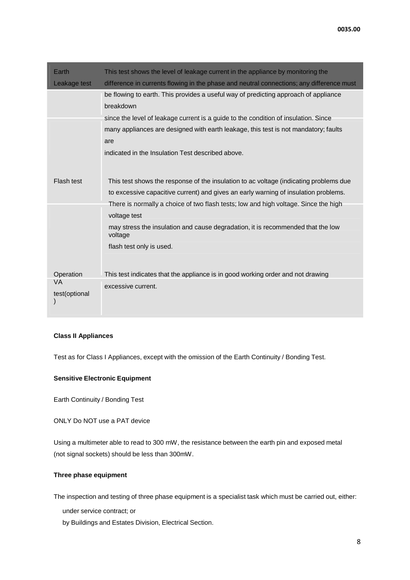| Earth                  | This test shows the level of leakage current in the appliance by monitoring the            |
|------------------------|--------------------------------------------------------------------------------------------|
| Leakage test           | difference in currents flowing in the phase and neutral connections; any difference must   |
|                        | be flowing to earth. This provides a useful way of predicting approach of appliance        |
|                        | breakdown                                                                                  |
|                        | since the level of leakage current is a guide to the condition of insulation. Since        |
|                        | many appliances are designed with earth leakage, this test is not mandatory; faults        |
|                        | are                                                                                        |
|                        | indicated in the Insulation Test described above.                                          |
|                        |                                                                                            |
| Flash test             | This test shows the response of the insulation to ac voltage (indicating problems due      |
|                        | to excessive capacitive current) and gives an early warning of insulation problems.        |
|                        | There is normally a choice of two flash tests; low and high voltage. Since the high        |
|                        | voltage test                                                                               |
|                        | may stress the insulation and cause degradation, it is recommended that the low<br>voltage |
|                        | flash test only is used.                                                                   |
|                        |                                                                                            |
| Operation<br><b>VA</b> | This test indicates that the appliance is in good working order and not drawing            |
|                        | excessive current.                                                                         |
| test(optional          |                                                                                            |
|                        |                                                                                            |

#### **Class II Appliances**

Test as for Class I Appliances, except with the omission of the Earth Continuity / Bonding Test.

#### **Sensitive Electronic Equipment**

Earth Continuity / Bonding Test

ONLY Do NOT use a PAT device

Using a multimeter able to read to 300 mW, the resistance between the earth pin and exposed metal (not signal sockets) should be less than 300mW.

#### **Three phase equipment**

The inspection and testing of three phase equipment is a specialist task which must be carried out, either:

under service contract; or

by Buildings and Estates Division, Electrical Section.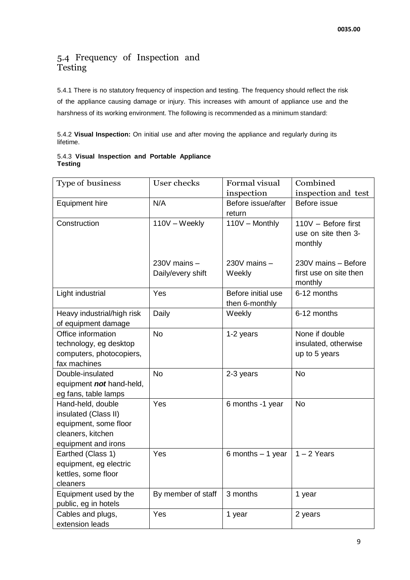### 5.4 Frequency of Inspection and Testing

5.4.1 There is no statutory frequency of inspection and testing. The frequency should reflect the risk of the appliance causing damage or injury. This increases with amount of appliance use and the harshness of its working environment. The following is recommended as a minimum standard:

5.4.2 **Visual Inspection:** On initial use and after moving the appliance and regularly during its lifetime.

|                | 5.4.3 Visual Inspection and Portable Appliance |  |  |
|----------------|------------------------------------------------|--|--|
| <b>Testing</b> |                                                |  |  |

| Type of business           | User checks        | Formal visual      | Combined               |
|----------------------------|--------------------|--------------------|------------------------|
|                            |                    | inspection         | inspection and test    |
| <b>Equipment hire</b>      | N/A                | Before issue/after | Before issue           |
|                            |                    | return             |                        |
| Construction               | 110V - Weekly      | 110V - Monthly     | 110V - Before first    |
|                            |                    |                    | use on site then 3-    |
|                            |                    |                    | monthly                |
|                            |                    |                    |                        |
|                            | 230V mains -       | $230V$ mains $-$   | 230V mains - Before    |
|                            | Daily/every shift  | Weekly             | first use on site then |
|                            |                    |                    | monthly                |
| Light industrial           | Yes                | Before initial use | 6-12 months            |
|                            |                    | then 6-monthly     |                        |
| Heavy industrial/high risk | Daily              | Weekly             | 6-12 months            |
| of equipment damage        |                    |                    |                        |
| Office information         | <b>No</b>          | 1-2 years          | None if double         |
| technology, eg desktop     |                    |                    | insulated, otherwise   |
| computers, photocopiers,   |                    |                    | up to 5 years          |
| fax machines               |                    |                    |                        |
| Double-insulated           | <b>No</b>          | 2-3 years          | <b>No</b>              |
| equipment not hand-held,   |                    |                    |                        |
| eg fans, table lamps       |                    |                    |                        |
| Hand-held, double          | Yes                | 6 months -1 year   | <b>No</b>              |
| insulated (Class II)       |                    |                    |                        |
| equipment, some floor      |                    |                    |                        |
| cleaners, kitchen          |                    |                    |                        |
| equipment and irons        |                    |                    |                        |
| Earthed (Class 1)          | Yes                | 6 months $-1$ year | $1 - 2$ Years          |
| equipment, eg electric     |                    |                    |                        |
| kettles, some floor        |                    |                    |                        |
| cleaners                   |                    |                    |                        |
| Equipment used by the      | By member of staff | 3 months           | 1 year                 |
| public, eg in hotels       |                    |                    |                        |
| Cables and plugs,          | Yes                | 1 year             | 2 years                |
| extension leads            |                    |                    |                        |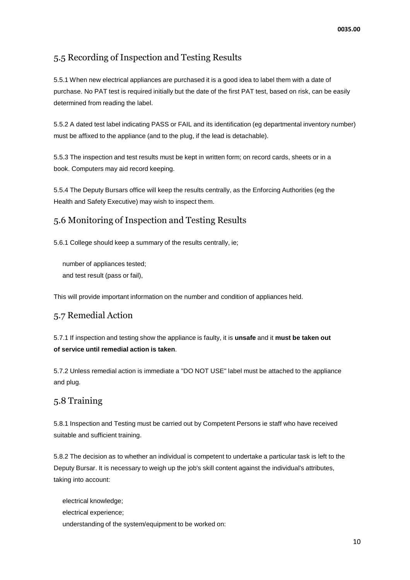## 5.5 Recording of Inspection and Testing Results

5.5.1 When new electrical appliances are purchased it is a good idea to label them with a date of purchase. No PAT test is required initially but the date of the first PAT test, based on risk, can be easily determined from reading the label.

5.5.2 A dated test label indicating PASS or FAIL and its identification (eg departmental inventory number) must be affixed to the appliance (and to the plug, if the lead is detachable).

5.5.3 The inspection and test results must be kept in written form; on record cards, sheets or in a book. Computers may aid record keeping.

5.5.4 The Deputy Bursars office will keep the results centrally, as the Enforcing Authorities (eg the Health and Safety Executive) may wish to inspect them.

## 5.6 Monitoring of Inspection and Testing Results

5.6.1 College should keep a summary of the results centrally, ie;

number of appliances tested; and test result (pass or fail),

This will provide important information on the number and condition of appliances held.

### 5.7 Remedial Action

5.7.1 If inspection and testing show the appliance is faulty, it is **unsafe** and it **must be taken out of service until remedial action is taken**.

5.7.2 Unless remedial action is immediate a "DO NOT USE" label must be attached to the appliance and plug.

## 5.8 Training

5.8.1 Inspection and Testing must be carried out by Competent Persons ie staff who have received suitable and sufficient training.

5.8.2 The decision as to whether an individual is competent to undertake a particular task is left to the Deputy Bursar. It is necessary to weigh up the job's skill content against the individual's attributes, taking into account:

electrical knowledge; electrical experience; understanding of the system/equipment to be worked on: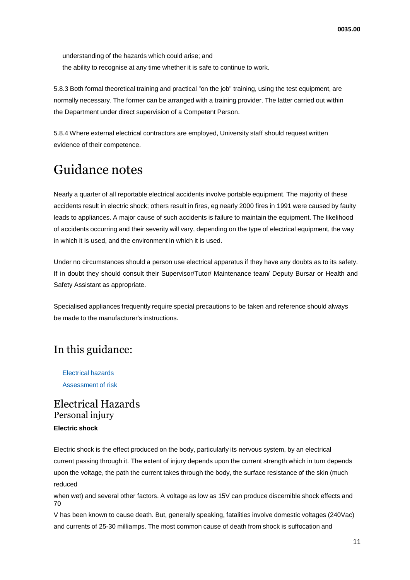understanding of the hazards which could arise; and the ability to recognise at any time whether it is safe to continue to work.

5.8.3 Both formal theoretical training and practical "on the job" training, using the test equipment, are normally necessary. The former can be arranged with a training provider. The latter carried out within the Department under direct supervision of a Competent Person.

5.8.4 Where external electrical contractors are employed, University staff should request written evidence of their competence.

# Guidance notes

Nearly a quarter of all reportable electrical accidents involve portable equipment. The majority of these accidents result in electric shock; others result in fires, eg nearly 2000 fires in 1991 were caused by faulty leads to appliances. A major cause of such accidents is failure to maintain the equipment. The likelihood of accidents occurring and their severity will vary, depending on the type of electrical equipment, the way in which it is used, and the environment in which it is used.

Under no circumstances should a person use electrical apparatus if they have any doubts as to its safety. If in doubt they should consult their Supervisor/Tutor/ Maintenance team/ Deputy Bursar or Health and Safety Assistant as appropriate.

Specialised appliances frequently require special precautions to be taken and reference should always be made to the manufacturer's instructions.

# In this guidance:

Electrical hazards Assessment of risk

## Electrical Hazards Personal injury **Electric shock**

Electric shock is the effect produced on the body, particularly its nervous system, by an electrical current passing through it. The extent of injury depends upon the current strength which in turn depends upon the voltage, the path the current takes through the body, the surface resistance of the skin (much reduced

when wet) and several other factors. A voltage as low as 15V can produce discernible shock effects and 70

V has been known to cause death. But, generally speaking, fatalities involve domestic voltages (240Vac) and currents of 25-30 milliamps. The most common cause of death from shock is suffocation and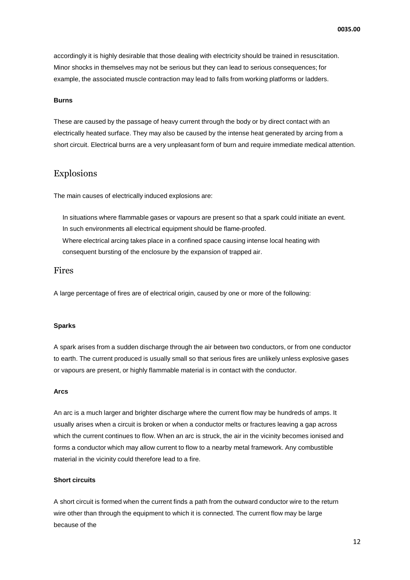accordingly it is highly desirable that those dealing with electricity should be trained in resuscitation. Minor shocks in themselves may not be serious but they can lead to serious consequences; for example, the associated muscle contraction may lead to falls from working platforms or ladders.

#### **Burns**

These are caused by the passage of heavy current through the body or by direct contact with an electrically heated surface. They may also be caused by the intense heat generated by arcing from a short circuit. Electrical burns are a very unpleasant form of burn and require immediate medical attention.

#### Explosions

The main causes of electrically induced explosions are:

In situations where flammable gases or vapours are present so that a spark could initiate an event. In such environments all electrical equipment should be flame-proofed. Where electrical arcing takes place in a confined space causing intense local heating with consequent bursting of the enclosure by the expansion of trapped air.

#### Fires

A large percentage of fires are of electrical origin, caused by one or more of the following:

#### **Sparks**

A spark arises from a sudden discharge through the air between two conductors, or from one conductor to earth. The current produced is usually small so that serious fires are unlikely unless explosive gases or vapours are present, or highly flammable material is in contact with the conductor.

#### **Arcs**

An arc is a much larger and brighter discharge where the current flow may be hundreds of amps. It usually arises when a circuit is broken or when a conductor melts or fractures leaving a gap across which the current continues to flow. When an arc is struck, the air in the vicinity becomes ionised and forms a conductor which may allow current to flow to a nearby metal framework. Any combustible material in the vicinity could therefore lead to a fire.

#### **Short circuits**

A short circuit is formed when the current finds a path from the outward conductor wire to the return wire other than through the equipment to which it is connected. The current flow may be large because of the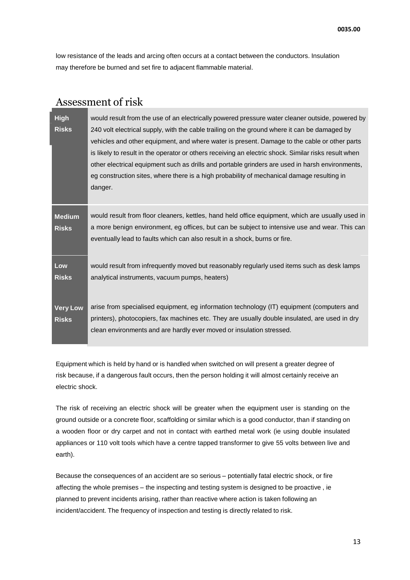low resistance of the leads and arcing often occurs at a contact between the conductors. Insulation may therefore be burned and set fire to adjacent flammable material.

|                                 | Assessment of risk                                                                                                                                                                                                                                                                                                                                                                                                                                                                                                                                                                                                  |
|---------------------------------|---------------------------------------------------------------------------------------------------------------------------------------------------------------------------------------------------------------------------------------------------------------------------------------------------------------------------------------------------------------------------------------------------------------------------------------------------------------------------------------------------------------------------------------------------------------------------------------------------------------------|
| <b>High</b><br><b>Risks</b>     | would result from the use of an electrically powered pressure water cleaner outside, powered by<br>240 volt electrical supply, with the cable trailing on the ground where it can be damaged by<br>vehicles and other equipment, and where water is present. Damage to the cable or other parts<br>is likely to result in the operator or others receiving an electric shock. Similar risks result when<br>other electrical equipment such as drills and portable grinders are used in harsh environments,<br>eg construction sites, where there is a high probability of mechanical damage resulting in<br>danger. |
| <b>Medium</b><br><b>Risks</b>   | would result from floor cleaners, kettles, hand held office equipment, which are usually used in<br>a more benign environment, eg offices, but can be subject to intensive use and wear. This can<br>eventually lead to faults which can also result in a shock, burns or fire.                                                                                                                                                                                                                                                                                                                                     |
| Low<br><b>Risks</b>             | would result from infrequently moved but reasonably regularly used items such as desk lamps<br>analytical instruments, vacuum pumps, heaters)                                                                                                                                                                                                                                                                                                                                                                                                                                                                       |
| <b>Very Low</b><br><b>Risks</b> | arise from specialised equipment, eg information technology (IT) equipment (computers and<br>printers), photocopiers, fax machines etc. They are usually double insulated, are used in dry<br>clean environments and are hardly ever moved or insulation stressed.                                                                                                                                                                                                                                                                                                                                                  |

Equipment which is held by hand or is handled when switched on will present a greater degree of risk because, if a dangerous fault occurs, then the person holding it will almost certainly receive an electric shock.

The risk of receiving an electric shock will be greater when the equipment user is standing on the ground outside or a concrete floor, scaffolding or similar which is a good conductor, than if standing on a wooden floor or dry carpet and not in contact with earthed metal work (ie using double insulated appliances or 110 volt tools which have a centre tapped transformer to give 55 volts between live and earth).

Because the consequences of an accident are so serious – potentially fatal electric shock, or fire affecting the whole premises – the inspecting and testing system is designed to be proactive , ie planned to prevent incidents arising, rather than reactive where action is taken following an incident/accident. The frequency of inspection and testing is directly related to risk.